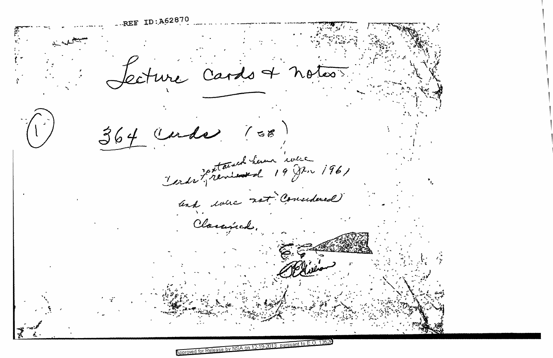REF ID: A62870 ture Cardo et notes  $364$  (ender 100 Verdi Fremiense de 19 Juin 1961 and done not Considered Clamind.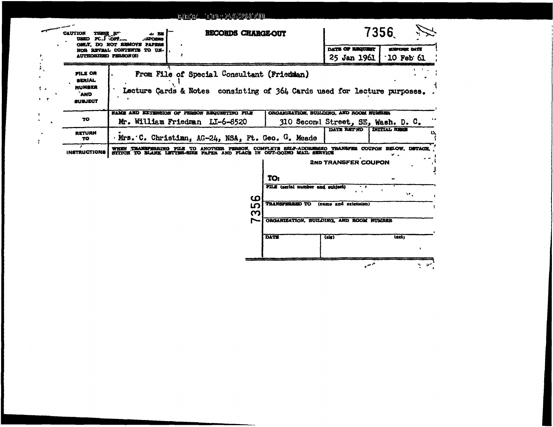## RETT 1012462870

|                          | <b>CAUTION</b><br>THESE RT<br>USED PC.J OFF.                        | 4. RE<br><i><b>JHPORES</b></i>                                                                                                                                           | RECORDS CHARGE-OUT |             | 7356                                                                                     |                                |                            |
|--------------------------|---------------------------------------------------------------------|--------------------------------------------------------------------------------------------------------------------------------------------------------------------------|--------------------|-------------|------------------------------------------------------------------------------------------|--------------------------------|----------------------------|
|                          | <b>AUTHORIZED PERSON(S)</b>                                         | OMLY. DO NOT REMOVE PAPERS<br>NOR REVEAL CONTENTS TO UN-                                                                                                                 |                    |             |                                                                                          | DATE OF REQUISE<br>25 Jan 1961 | SUBPENSE DATE<br>10 Feb 61 |
| ř,<br>ŧ.<br>$\mathbf{r}$ | FILE OR<br><b>SERIAL</b><br><b>NUMBER</b><br>`AND<br><b>SUBJECT</b> | From File of Special Consultant (Friedman)<br>Lecture Cards & Notes consisting of 364 Cards used for lecture purposes                                                    |                    |             |                                                                                          |                                |                            |
| L.                       | TO                                                                  | <b>NAME AND EXTENSION OF PERSON REQUESTING FILE</b>                                                                                                                      |                    |             | ORGANIZATION, BUILDING, AND ROOM NUMBER                                                  |                                |                            |
|                          | <b>RETURN</b><br>TO                                                 | Mr. William Friedman LI-6-8520<br>310 Second Street, SE, Wash. D. C.<br>DATE RETWO<br>INITIAL HERE<br>Mrs. C. Christian, AG-24, NSA, Ft. Geo. G. Meade                   |                    |             |                                                                                          |                                |                            |
|                          | ,<br><b>INSTRUCTIONS</b>                                            | WHEN TRANSFERRING FILE TO ANOTHER PERSON, COMPLETE SELF-ADDRESSED TRANSFER COUPON BELOW, DETACH<br>SITICE TO BLANK LETTER-SIZE PAPER AND PLACE IN OUT-GOING MAIL SERVICE |                    |             |                                                                                          |                                |                            |
|                          |                                                                     |                                                                                                                                                                          |                    |             |                                                                                          | <b>2ND TRANSFER COUPON</b>     |                            |
|                          |                                                                     |                                                                                                                                                                          |                    |             | TO:                                                                                      |                                |                            |
|                          |                                                                     |                                                                                                                                                                          |                    |             | FILE (serial number and subject)                                                         | $-$<br>$\mathbf{r}$            | AP 20                      |
|                          |                                                                     |                                                                                                                                                                          |                    | ശ<br>ഥ<br>ო | <b>TRANSFERRED TO</b><br>(name and extension)<br>ORGANIZATION, BUILDING, AND ROOM NUMBER |                                |                            |
|                          |                                                                     |                                                                                                                                                                          |                    |             |                                                                                          |                                |                            |
|                          |                                                                     |                                                                                                                                                                          |                    |             | <b>DATE</b>                                                                              | (a x)                          | lext:                      |
|                          |                                                                     |                                                                                                                                                                          |                    |             |                                                                                          |                                |                            |
|                          |                                                                     |                                                                                                                                                                          |                    |             |                                                                                          | المحتبى                        |                            |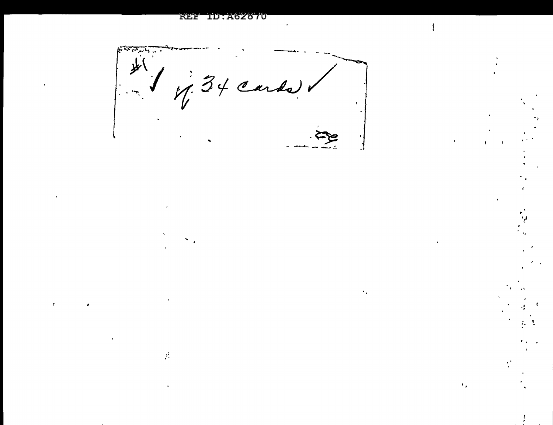#### **REE ID: A62870**

 $\hat{\mathcal{F}}$ 

支 Ø

 $\mathbf{r}_i$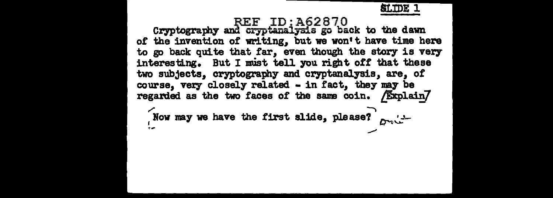

REF ID:A62870<br>Cryptography and cryptanalysis go back to the dawn of the invention of writing, but we won't have time here to go back quite that far, even though the story is very interesting. But I must tell you right off that these two subjects, cryptography and cryptanalysis, are, of course, very closely related - in fact, they may be regarded as the two faces of the same coin. Explain/ Now may we have the first slide, please?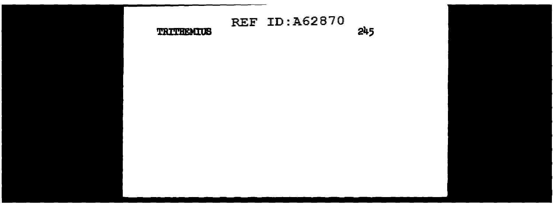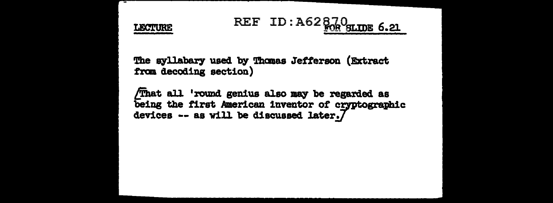LECTURE

## REF ID:  $A62 \frac{0.20}{1000}$  slips 6.21

The syllabary used by Thanas Jefferson (Extract from decoding section)

/That all 'round genius also may be regarded as being the first American inventor of cryptographic devices -- as will be discussed later. $7$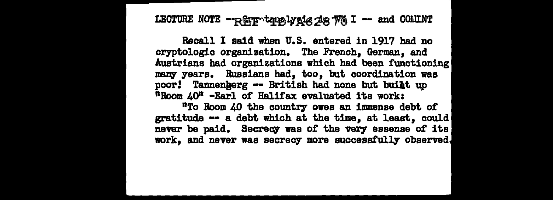LECTURE NOTE  $-$ **REP** temply  $1$ <sub>6</sub> 28  $\frac{1}{10}$  I -- and COMINT

Recall I said when U.S. entered in 1917 had no cryptologic organization. The French, German, and Austrians had organizations which had been functioning many years. Russians had, too, but coordination was poor! Tannenherg -- British had none but built up •Room 4on -Earl *ot* Halifax evaluated its work:

"To Room 40 the country" owes an immense debt or gratitude -- a debt which at the time, at least, could never be paid. Secrecy was of the very essense of its work, and never was secrecy more successfully observed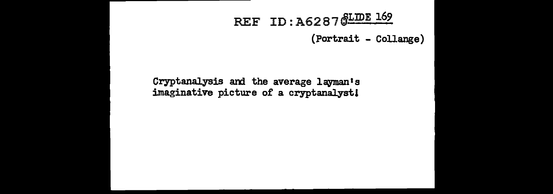## REF ID: A6287 SLIDE 169

(Portrait - Collange)

Cryptanalysis and the average layman's imaginative picture of a cryptanalyst!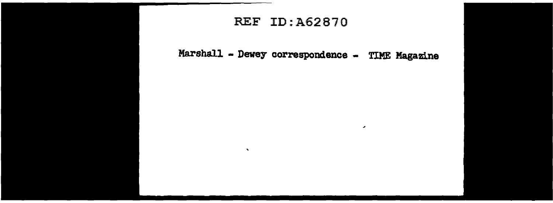#### REF ID:A62B70

 $\mathbf{v}$ 

Marshall - Dewey correspondence - TIME Magazine

 $\mathbf{r}$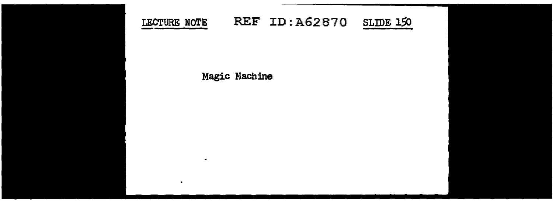

Magic Machine

 $\sim$ 

 $\bullet$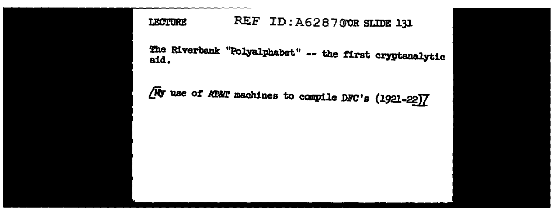REF ID: A628700R SLIDE 131 **LECTURE** 

The Riverbank "Polyalphabet" -- the first cryptanalytic aid.

No use of AT&T machines to compile DFC's (1921-22)]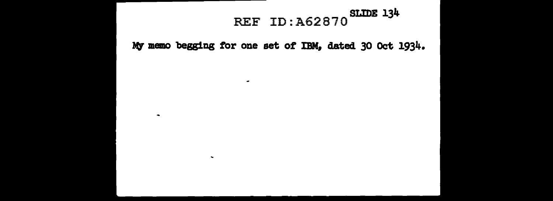# REF ID:A62870<sup>SLIDE</sup> 134

My memo begging for one set of IBM, dated 30 Oct 1934.

 $\sim$ 

 $\sim$ 

 $\bullet$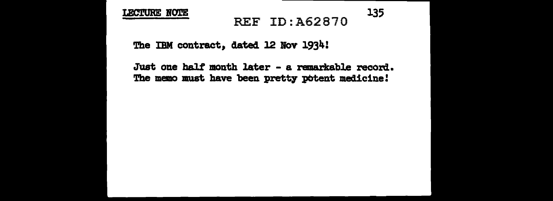#### LECTURE NOTE

## REF ID: A62870 135

The IBM contract, dated 12 Nov 1934:

Just one half month later - a remarkable record. The memo must have been pretty potent medicine!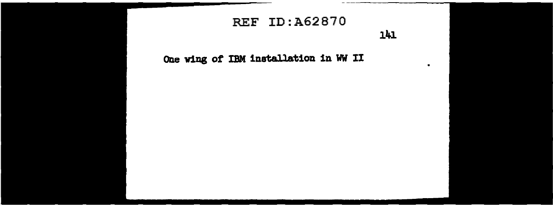## **REF ID: A62870**

141

One wing of IBM installation in WW II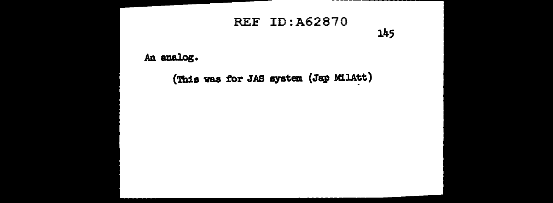## **REF ID: A62870**

145

An analog.

(This was for JAS system (Jap MilAtt)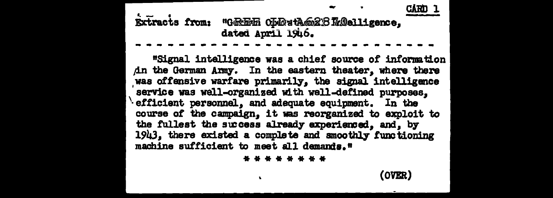CÀRN Extracts from: "GREEN ODDutAG2BTaDelligence, dated April 1946.

"Signal intelligence was a chief source of information An the German Army. In the eastern theater, where there was offensive warfare primarily, the signal intelligence service was well-organized with well-defined purposes. efficient personnel, and adequate equipment. In the course of the campaign, it was reorganized to exploit to the fullest the success already experienced, and, by 1943. there existed a complete and smoothly functioning machine sufficient to meet all demands."

\* \* \* \* \* \* \* \*

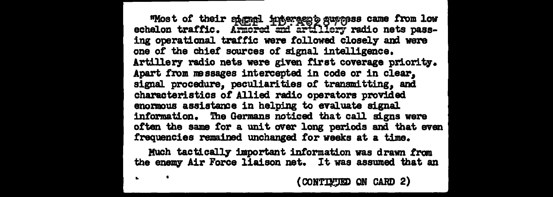"Most of their spignal interaces's suppers came from low<br>echelon traffic. Armored and artillery radio nets passing operational traffic were followed closely and were one of the chief sources of signal intelligence. Artillery radio nets were given first coverage priority. Apart from messages intercepted in code or in clear. signal procedure, peculiarities of transmitting, and characteristics of Allied radio operators provided enormous assistance in helping to evaluate signal information. The Germans noticed that call signs were often the same for a unit over long periods and that even frequencies remained unchanged for weeks at a time.

Much tactically important information was drawn from the enemy Air Force liaison net. It was assumed that an

CONTINUED ON CARD 2)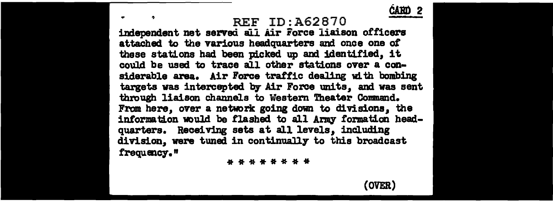REF ID: A62870

independent net served all Air Force liaison officers attached to the various headquarters and once one *ot*  these stations had been picked up and identified, it could be used *to* trace all other stations over a considerable area. Air Poree traffic dealing with bombing targets was intercepted by Air Force units, and was sent through liaison channels to Westem Theater Comnand. From here, over a network going down to divisions, the information would be flashed to all Army formation headquarters. Receiving sets at all levels, including division, were tuned in continually to this broadcast frequmc7. *n* 

\*\*\*\*\*\*\*\*



**CARD**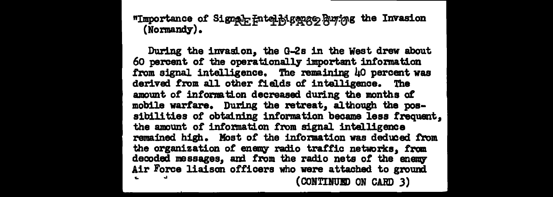"Importance of Signal Hutching angle of the Invasion  $(Nonmandy)$ .

During the invasion, the G-2s in the West drew about 60 percent of the operationally important information from signal intelligence. The remaining 40 percent was derived from all other fields of intelligence. The amount of information decreased during the months of mobile warfare. During the retreat, al though the possibilities of obtaining information became less frequent. the amount of information from signal intelligence remained high. Most of the information was deduoed from the organization of enemy radio traffic networks. from decoded messages, and from the radio nets of the enemy Air Force liaison officers who were attached to ground (CONTINUED ON CARD 3)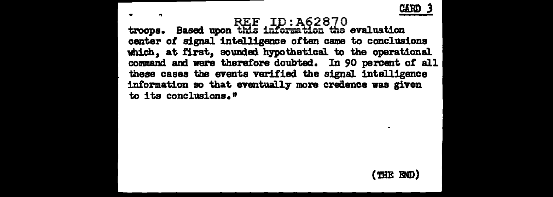

CARD 3<br>REF ID:A62870 **CARD 3**<br>troops. Based upon this information the evaluation center of signal intelligence often came to conclusions which, at first, sounded hypothetical to the operational command and were therefore doubted. In 90 percent of all these cases the events verified the signal intelligence information so that eventually more credence was given to its conclusions."

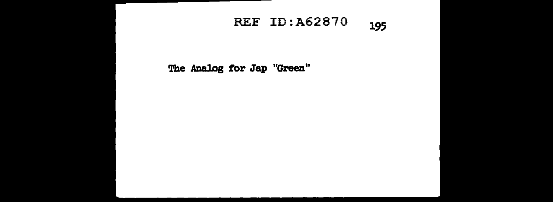## REF ID:A62870 **<sup>195</sup>**

**The Analog for Jap "Green"**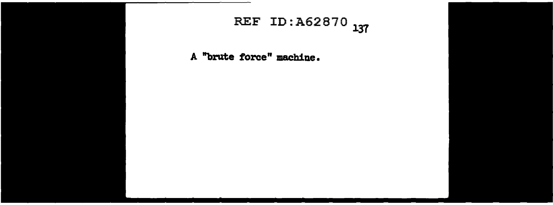## REF ID: A62870 137

**A "brute force" machine.**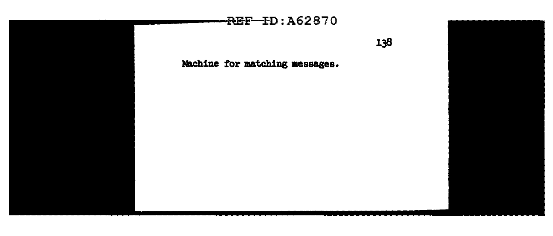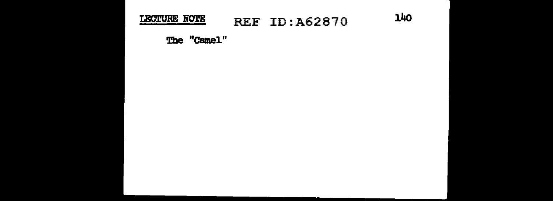#### LECTURE NOTE **REF ID: A62870**

140

The "Camel"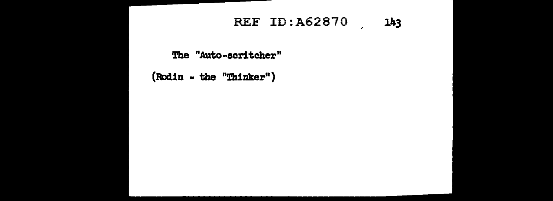## REF ID:A62870 , 143

The "Auto-scritcher"

 $(Rodin - the "Thataker")$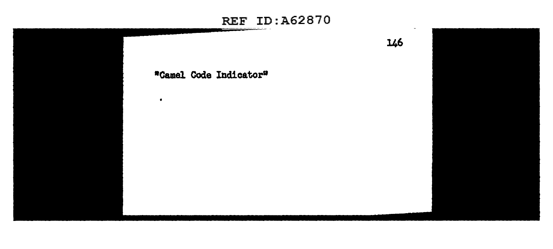# REF ID:A62870 146 **•Camel Code Indicator"**  $\bullet$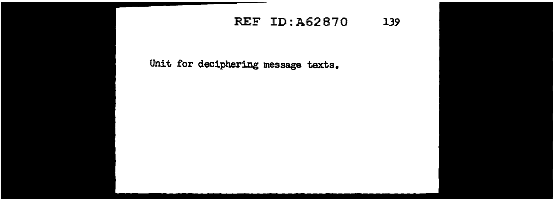## REF ID: A62870 139

Unit for deciphering message texts.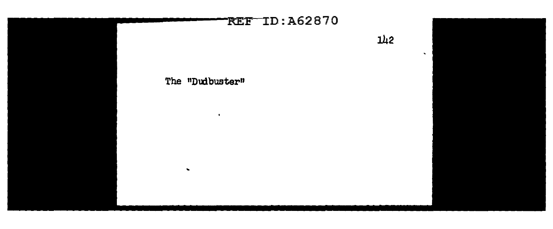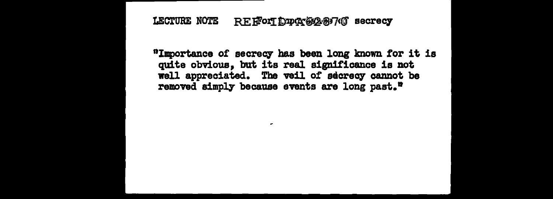#### LECTURE NOTE REF FOLT DUPCY 65287 (O secrecy

.

"Importance of secrecy has been long known for it is quite obvious, but its real significance is not well appreciated. The veil of secrecy cannot be removed simply because events are long past."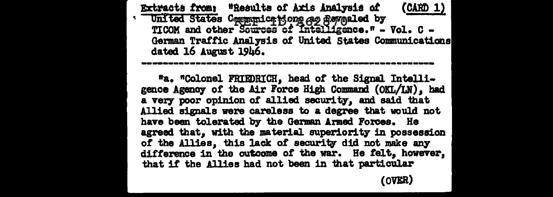Extracts from: "Results of Axis Analysis of  $(CAND 1)$ United States Communications as flaveled by<br>TICOM and other Sources of Intelligence." - Vol. C -German Traffic Analysis of United States Communications dated 16 August 1946.

"a. "Colonel FRIEDRICH, head of the Signal Intelligence Agency of the Air Force High Command (OKL/LN). had a very poor opinion of allied security, and said that Allied signals were careless to a degree that would not have been tolerated by the German Armed Forces. He agreed that. with the material superiority in possession of the Allies, this lack of security did not make any difference in the outcome of the war. He felt, however, that if the Allies had not been in that particular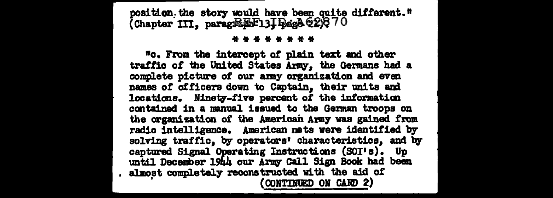position the story would have been quite different."<br>(Chapter III, paragraph-13] Page 220370

#### \* \* \* \* \* \* \* \*

"c. From the intercept of plain text and other traffic of the United States Army, the Germans had a complete picture of our army organization and even names of officers down to Captain, their units and locations. Ninety-five percent of the information contained in a manual issued to the German troops on the organization of the American Army was gained from radio intelligence. American nets were identified by solving traffic, by operators' characteristics, and by captured Signal Operating Instructions (SOI's). Up until December 1944 our Army Call Sign Book had been almost completely reconstructed with the aid of (CONTINUED ON CARD 2)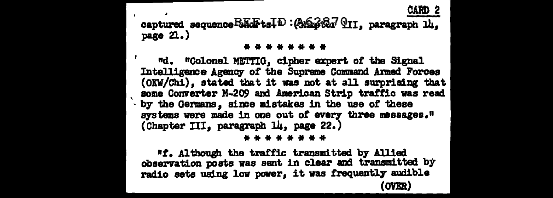## CARD 2 captured sequence BEGFtsID: (2023627 911, paragraph 14. page  $2.$ )

#### \* \* \* \* \* \* \* \*

"d. "Colonel METTIG, cipher expert of the Signal Intelligence Agency of the Supreme Command Armed Forces (OKW/Chi), stated that it was not at all surprising that some Converter M-209 and American Strip traffic was read by the Germans, since mistakes in the use of these systems were made in one out of every three messages." (Chapter III, paragraph 14, page 22.)

#### \* \* \* \* \* \* \* \*

"f. Although the traffic transmitted by Allied observation posts was sent in clear and transmitted by radio sets using low power, it was frequently audible **OVER)**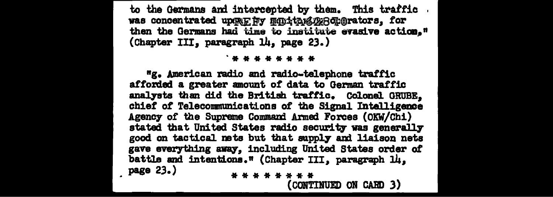to the Germans and intercepted by them. This traffic was concentrated upon Fy munitant 228 morators, for then the Germans had time to institute evasive action." (Chapter III, paragraph 14, page 23.)

**. . . . . . . . .** 

"g. American radio and radio-telephone traffic afforded a greater amount of data to German traffic analysts than did the British traffic. Colonel GRUBE. chief of Telecommunications of the Signal Intelligence Agency of the Supreme Command Armed Forces (OKW/Chi) stated that United States radio security was generally good on tactical nets but that supply and liaison nets gave everything away, including United States order of battle and intentions." (Chapter III. paragraph 14. page 23.) \* \* \* \* \* \* \* \*

(CONTINUED ON CARD 3)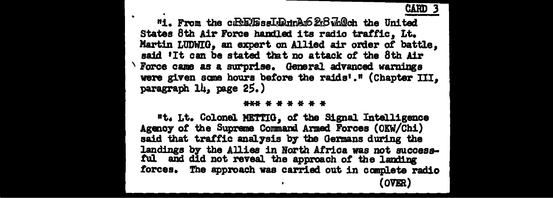"1. From the c.RE.EssI.E.trA.62.8 mlch the United States 8th Air Force handled its radio traffic. Lt. Martin LUDWIG. an expert on Allied air order of battle. said 'It can be stated that no attack of the 8th Air  $^\backprime$  Force came as a surprise. General advanced warnings were given some hours before the raids'." (Chapter III. paragraph 14, page 25.)

#### \*\*\* \* \* \* \* \* \*

"t. Lt. Colonel METTIG, of the Signal Intelligence Agency of the Supreme Command Armed Forces (OKW/Chi) said that traffic analysis by the Germans during the landings by the Allies in North Africa was not successful and did not reveal the approach of the landing forces. The approach was carried out in complete radio (OVER)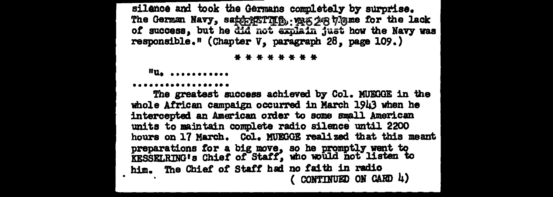silance and took the Germans completely by surprise. The German Navy, saper Film . was 208 7 mme for the lack of success, but he did not explain just how the Navy was responsible." (Chapter V, paragraph 28, page 109.)

#### \* \* \* \* \* \* \* \*

 $^{\prime\prime}u_{\bullet}$  ..........

#### .................

The greatest success achieved by Col. MUEGGE in the whole African campaign occurred in March 1943 when he intercepted an American order to some small American units to maintain complete radio silence until 2200 hours on 17 March. Col. MUEGGE realized that this meant preparations for a big move, so he promptly went to<br>KESSELRING's Chief of Staff, who would not listen to him. The Chief of Staff had no faith in radio ( CONTINUED ON CARD  $\mu$ )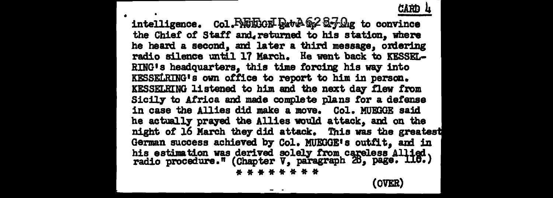## CA.Rn 4

• intelligence. Col. REEGE Pat A & 27 Dig to convince the Chief of Staff and, returned to his station. where he heard a second, and later a third message, ordering radio silence until 17 March. He went back to KESSEL-RING's headquarters, this time forcing his way into KESSELRING1 s own office to report to him in person. KESSELRING listened to him and the next day flew from Sicily to Africa and made complete plans for a defense in case the Allies did make a move. Col. MUEGGE said he actually prayed the Allies would attack, and on the night of 16 March they did attack. This was the greatest German success achieved by Col. MUEGGE's outfit, and in his estimation was derived solely from careless Allied. radio procedure." (Chapter V, paragraph 26, page. 116.)

\*\*\*\*\*\*\*\* (OVER)

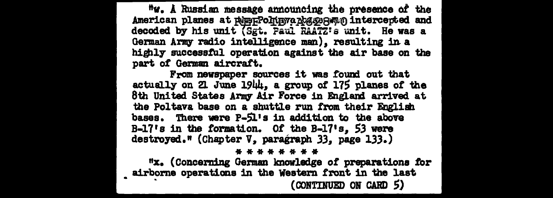"w. A Russian message announcing the presence of the American planes at peppPolinyrapes page antercepted and decoded by his unit (Sgt. Paul RAATZ's unit. He was a German Army radio intelligence man), resulting in a highly successful operation against the air base on the part of German aircraft.

From newspaper sources it was found out that actually on 21 June 1944, a group of 175 planes of the 8th United States Army Air Force in England arrived at the Poltava base on a shuttle run from their English bases. There were P-51's in addition to the above  $B-17$ 's in the formation. Of the  $B-17$ 's. 53 were destroyed." (Chapter V, paragraph 33, page 133.)

#### \* \* \* \* \* \* \* \*

"x. (Concerning German knowledge of preparations for airborne operations in the Western front in the last (CONTINUED ON CARD 5)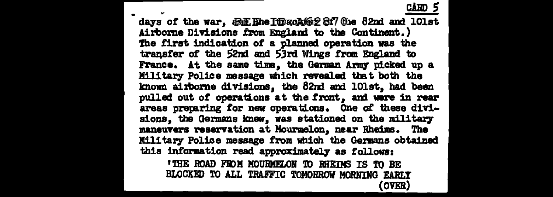cARD 5<br>days of the war, 4ReE Ehe I\DxoA(62 8f7 0he 82nd and lOlst Airborne Divisions from England to the Continent.) The first indication of a planned operation was the transfer of the 52nd and 53rd Wings from England to France. At the same time, the German Army picked up a Military Police massage which revealed that both the known airborne divisions, the 82nd and lOlst, had been pulled out of operations at the front, and were in rear areas preparing for new operations. One of these divisions, the Germans knew, was stationed on the military maneuvers reservation at Mourmelon, near Rheims. The Military Police message from which the Germans obtained this information read approximately as follows:

'THE ROAD FROM MOURMELON TO RHEIMS IS TO BE BLOCKED TO ALL TRAFFIC TOMORROW MORNING EARLY (OVER)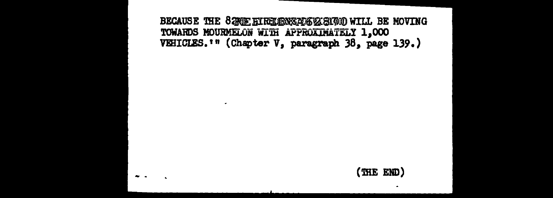BECAUSE THE 82NE EIRELEMEAD612631700 WILL BE MOVING TOWARDS MOURMELON WITH APPROXIMATELY 1,000 VEHICLES.<sup>1</sup>" (Chapter V, paragraph 38, page 139.)

 $\sim$ 

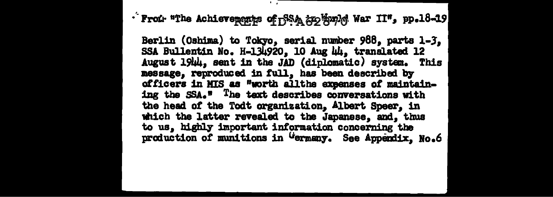· From "The Achieverspipe of BSA anothopic War II", pp.18-19

Berlin (Oshima) to Tokyo, serial number 988, parts 1-3. SSA Bullentin No. H-134920, 10 Aug 44, translated 12 August 1944, sent in the JAD (diplomatic) system. This message. reproduced in full, has been described by officers in MIS as "worth allthe expenses of maintaining the SSA." The text describes conversations with the head of the Todt organization, Albert Speer, in which the latter revealed to the Japanese, and, thus to us. highly important information concerning the production of munitions in Germany. See Appendix, No.6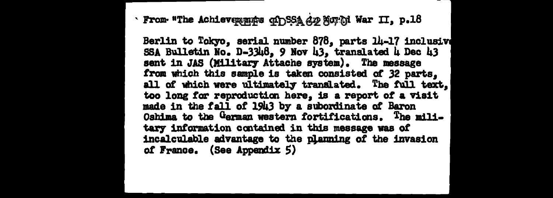· From "The Achieverspics of SSA dy Sor hi War II, p.18

Berlin to Tokyo, serial number 878, parts 14-17 inclusive SSA Bulletin No. D-3348, 9 Nov 43, translated 4 Dec 43 sent in JAS (Military Attache system). The message from which this sample is taken consisted of 32 parts. all of which were ultimately translated. The full text, too long for reproduction here, is a report of a visit made in the fall of 1943 by a subordinate of Baron Oshima to the German western fortifications. The military information contained in this message was of incalculable advantage to the planning of the invasion of France. (See Appendix 5)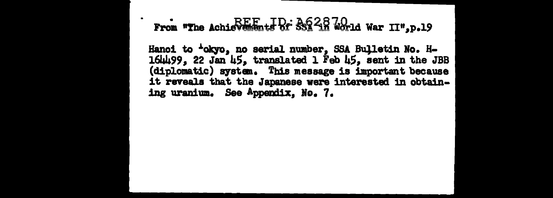## From "The Achievements of SSR 48 World War II", p.19

Hanoi to 'okyo, no serial number, SSA Bulletin No. H-164499, 22 Jan 45, translated 1 Feb 45, sent in the JBB (diplomatic) system. This message is important because it reveals that the Japanese were interested in obtaining uranium. See Appendix, No. 7.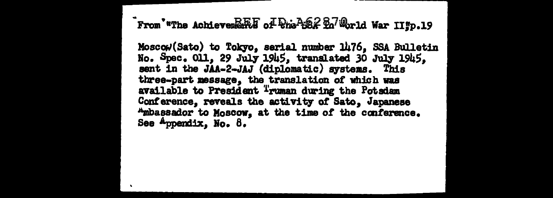From "The Achiever Er of Pre-1582 Bo Orld War II'p.19

Moscow(Sato) to Tokyo, serial number 1476, SSA Bulletin No. Spec. 011, 29 July 1945, translated 30 July 1945. sent in the JAA-2-JAJ (diplomatic) systems. This three-part message, the translation of which was available to President Truman during the Potsdam Conference, reveals the activity of Sato, Japanese "mbassador to Moscow, at the time of the conference. See  $A$ ppendix, No.  $B$ .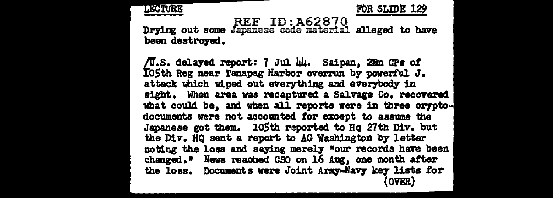

FOR SLIDE 129

REF ID:A62870<br>Drying out some Japanese code material alleged to have been destroyed.

/U.S. delayed report: 7 Jul 44. Saipan, 28n CPs of IO5th Reg near Tanapag Harbor overrun by powerful J. attack which wiped out everything and everybody in sight. When area was recaptured a Salvage Co. recovered what could be, and when all reports were in three cryptodocuments were not accounted for except to assume the Japanese got them. 105th reported to Hq 27th Div. but the Div. HQ sent a report to AG Washington by letter noting the loss and saying merely "our records have been changed." News reached CSO on 16 Aug, one month after the loss. Documents were Joint Army-Navy key lists for **(OVER)**